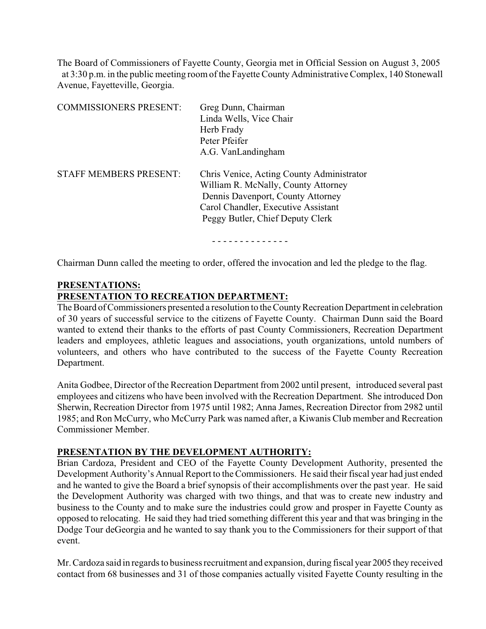The Board of Commissioners of Fayette County, Georgia met in Official Session on August 3, 2005 at 3:30 p.m. in the public meeting room of the Fayette County Administrative Complex, 140 Stonewall Avenue, Fayetteville, Georgia.

| <b>COMMISSIONERS PRESENT:</b> | Greg Dunn, Chairman<br>Linda Wells, Vice Chair<br>Herb Frady<br>Peter Pfeifer<br>A.G. VanLandingham                                                                                              |
|-------------------------------|--------------------------------------------------------------------------------------------------------------------------------------------------------------------------------------------------|
| <b>STAFF MEMBERS PRESENT:</b> | Chris Venice, Acting County Administrator<br>William R. McNally, County Attorney<br>Dennis Davenport, County Attorney<br>Carol Chandler, Executive Assistant<br>Peggy Butler, Chief Deputy Clerk |

Chairman Dunn called the meeting to order, offered the invocation and led the pledge to the flag.

### **PRESENTATIONS:**

### **PRESENTATION TO RECREATION DEPARTMENT:**

The Board of Commissioners presented a resolution to the County Recreation Department in celebration of 30 years of successful service to the citizens of Fayette County. Chairman Dunn said the Board wanted to extend their thanks to the efforts of past County Commissioners, Recreation Department leaders and employees, athletic leagues and associations, youth organizations, untold numbers of volunteers, and others who have contributed to the success of the Fayette County Recreation Department.

Anita Godbee, Director of the Recreation Department from 2002 until present, introduced several past employees and citizens who have been involved with the Recreation Department. She introduced Don Sherwin, Recreation Director from 1975 until 1982; Anna James, Recreation Director from 2982 until 1985; and Ron McCurry, who McCurry Park was named after, a Kiwanis Club member and Recreation Commissioner Member.

#### **PRESENTATION BY THE DEVELOPMENT AUTHORITY:**

Brian Cardoza, President and CEO of the Fayette County Development Authority, presented the Development Authority's Annual Report to the Commissioners. He said their fiscal year had just ended and he wanted to give the Board a brief synopsis of their accomplishments over the past year. He said the Development Authority was charged with two things, and that was to create new industry and business to the County and to make sure the industries could grow and prosper in Fayette County as opposed to relocating. He said they had tried something different this year and that was bringing in the Dodge Tour deGeorgia and he wanted to say thank you to the Commissioners for their support of that event.

Mr. Cardoza said in regards to business recruitment and expansion, during fiscal year 2005 they received contact from 68 businesses and 31 of those companies actually visited Fayette County resulting in the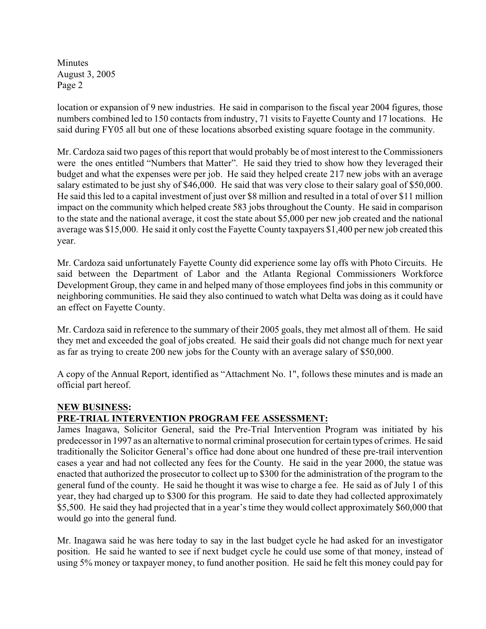location or expansion of 9 new industries. He said in comparison to the fiscal year 2004 figures, those numbers combined led to 150 contacts from industry, 71 visits to Fayette County and 17 locations. He said during FY05 all but one of these locations absorbed existing square footage in the community.

Mr. Cardoza said two pages of this report that would probably be of most interest to the Commissioners were the ones entitled "Numbers that Matter". He said they tried to show how they leveraged their budget and what the expenses were per job. He said they helped create 217 new jobs with an average salary estimated to be just shy of \$46,000. He said that was very close to their salary goal of \$50,000. He said this led to a capital investment of just over \$8 million and resulted in a total of over \$11 million impact on the community which helped create 583 jobs throughout the County. He said in comparison to the state and the national average, it cost the state about \$5,000 per new job created and the national average was \$15,000. He said it only cost the Fayette County taxpayers \$1,400 per new job created this year.

Mr. Cardoza said unfortunately Fayette County did experience some lay offs with Photo Circuits. He said between the Department of Labor and the Atlanta Regional Commissioners Workforce Development Group, they came in and helped many of those employees find jobs in this community or neighboring communities. He said they also continued to watch what Delta was doing as it could have an effect on Fayette County.

Mr. Cardoza said in reference to the summary of their 2005 goals, they met almost all of them. He said they met and exceeded the goal of jobs created. He said their goals did not change much for next year as far as trying to create 200 new jobs for the County with an average salary of \$50,000.

A copy of the Annual Report, identified as "Attachment No. 1", follows these minutes and is made an official part hereof.

# **NEW BUSINESS:**

# **PRE-TRIAL INTERVENTION PROGRAM FEE ASSESSMENT:**

James Inagawa, Solicitor General, said the Pre-Trial Intervention Program was initiated by his predecessor in 1997 as an alternative to normal criminal prosecution for certain types of crimes. He said traditionally the Solicitor General's office had done about one hundred of these pre-trail intervention cases a year and had not collected any fees for the County. He said in the year 2000, the statue was enacted that authorized the prosecutor to collect up to \$300 for the administration of the program to the general fund of the county. He said he thought it was wise to charge a fee. He said as of July 1 of this year, they had charged up to \$300 for this program. He said to date they had collected approximately \$5,500. He said they had projected that in a year's time they would collect approximately \$60,000 that would go into the general fund.

Mr. Inagawa said he was here today to say in the last budget cycle he had asked for an investigator position. He said he wanted to see if next budget cycle he could use some of that money, instead of using 5% money or taxpayer money, to fund another position. He said he felt this money could pay for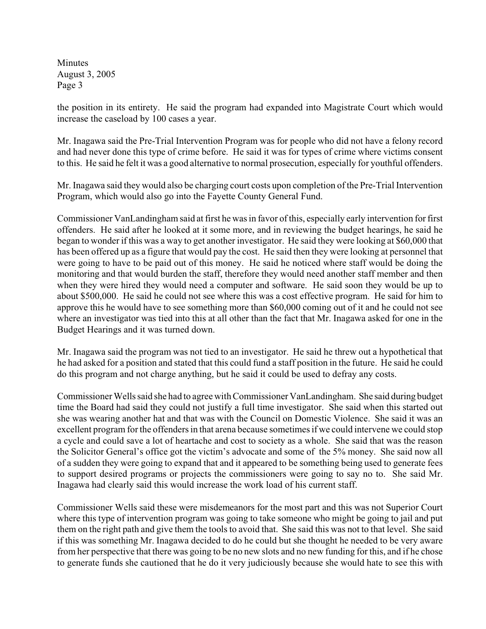the position in its entirety. He said the program had expanded into Magistrate Court which would increase the caseload by 100 cases a year.

Mr. Inagawa said the Pre-Trial Intervention Program was for people who did not have a felony record and had never done this type of crime before. He said it was for types of crime where victims consent to this. He said he felt it was a good alternative to normal prosecution, especially for youthful offenders.

Mr. Inagawa said they would also be charging court costs upon completion of the Pre-Trial Intervention Program, which would also go into the Fayette County General Fund.

Commissioner VanLandingham said at first he was in favor of this, especially early intervention for first offenders. He said after he looked at it some more, and in reviewing the budget hearings, he said he began to wonder if this was a way to get another investigator. He said they were looking at \$60,000 that has been offered up as a figure that would pay the cost. He said then they were looking at personnel that were going to have to be paid out of this money. He said he noticed where staff would be doing the monitoring and that would burden the staff, therefore they would need another staff member and then when they were hired they would need a computer and software. He said soon they would be up to about \$500,000. He said he could not see where this was a cost effective program. He said for him to approve this he would have to see something more than \$60,000 coming out of it and he could not see where an investigator was tied into this at all other than the fact that Mr. Inagawa asked for one in the Budget Hearings and it was turned down.

Mr. Inagawa said the program was not tied to an investigator. He said he threw out a hypothetical that he had asked for a position and stated that this could fund a staff position in the future. He said he could do this program and not charge anything, but he said it could be used to defray any costs.

Commissioner Wells said she had to agree with Commissioner VanLandingham. She said during budget time the Board had said they could not justify a full time investigator. She said when this started out she was wearing another hat and that was with the Council on Domestic Violence. She said it was an excellent program for the offenders in that arena because sometimes if we could intervene we could stop a cycle and could save a lot of heartache and cost to society as a whole. She said that was the reason the Solicitor General's office got the victim's advocate and some of the 5% money. She said now all of a sudden they were going to expand that and it appeared to be something being used to generate fees to support desired programs or projects the commissioners were going to say no to. She said Mr. Inagawa had clearly said this would increase the work load of his current staff.

Commissioner Wells said these were misdemeanors for the most part and this was not Superior Court where this type of intervention program was going to take someone who might be going to jail and put them on the right path and give them the tools to avoid that. She said this was not to that level. She said if this was something Mr. Inagawa decided to do he could but she thought he needed to be very aware from her perspective that there was going to be no new slots and no new funding for this, and if he chose to generate funds she cautioned that he do it very judiciously because she would hate to see this with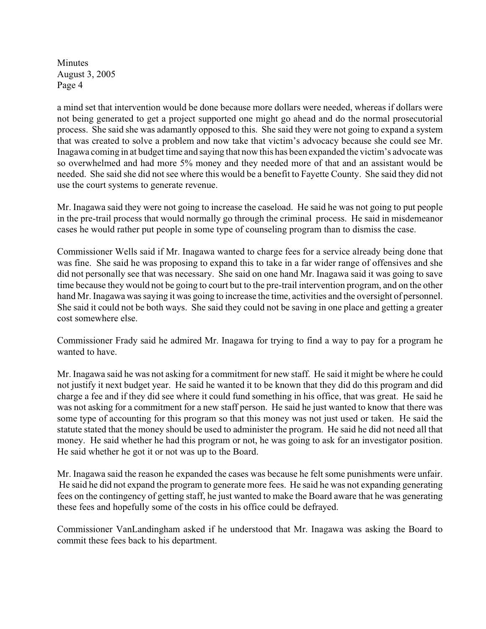a mind set that intervention would be done because more dollars were needed, whereas if dollars were not being generated to get a project supported one might go ahead and do the normal prosecutorial process. She said she was adamantly opposed to this. She said they were not going to expand a system that was created to solve a problem and now take that victim's advocacy because she could see Mr. Inagawa coming in at budget time and saying that now this has been expanded the victim's advocate was so overwhelmed and had more 5% money and they needed more of that and an assistant would be needed. She said she did not see where this would be a benefit to Fayette County. She said they did not use the court systems to generate revenue.

Mr. Inagawa said they were not going to increase the caseload. He said he was not going to put people in the pre-trail process that would normally go through the criminal process. He said in misdemeanor cases he would rather put people in some type of counseling program than to dismiss the case.

Commissioner Wells said if Mr. Inagawa wanted to charge fees for a service already being done that was fine. She said he was proposing to expand this to take in a far wider range of offensives and she did not personally see that was necessary. She said on one hand Mr. Inagawa said it was going to save time because they would not be going to court but to the pre-trail intervention program, and on the other hand Mr. Inagawa was saying it was going to increase the time, activities and the oversight of personnel. She said it could not be both ways. She said they could not be saving in one place and getting a greater cost somewhere else.

Commissioner Frady said he admired Mr. Inagawa for trying to find a way to pay for a program he wanted to have.

Mr. Inagawa said he was not asking for a commitment for new staff. He said it might be where he could not justify it next budget year. He said he wanted it to be known that they did do this program and did charge a fee and if they did see where it could fund something in his office, that was great. He said he was not asking for a commitment for a new staff person. He said he just wanted to know that there was some type of accounting for this program so that this money was not just used or taken. He said the statute stated that the money should be used to administer the program. He said he did not need all that money. He said whether he had this program or not, he was going to ask for an investigator position. He said whether he got it or not was up to the Board.

Mr. Inagawa said the reason he expanded the cases was because he felt some punishments were unfair. He said he did not expand the program to generate more fees. He said he was not expanding generating fees on the contingency of getting staff, he just wanted to make the Board aware that he was generating these fees and hopefully some of the costs in his office could be defrayed.

Commissioner VanLandingham asked if he understood that Mr. Inagawa was asking the Board to commit these fees back to his department.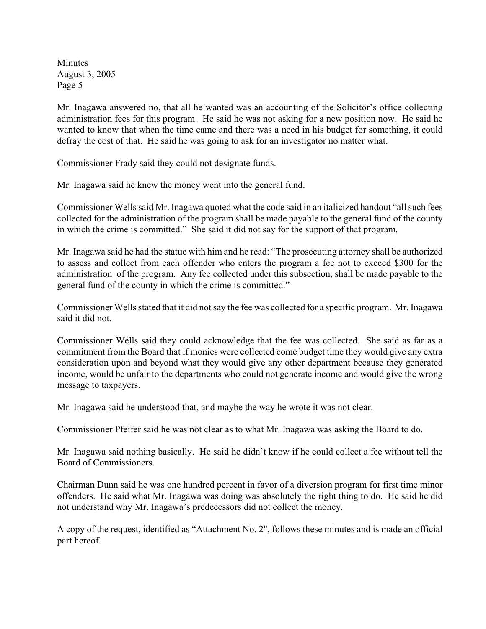Mr. Inagawa answered no, that all he wanted was an accounting of the Solicitor's office collecting administration fees for this program. He said he was not asking for a new position now. He said he wanted to know that when the time came and there was a need in his budget for something, it could defray the cost of that. He said he was going to ask for an investigator no matter what.

Commissioner Frady said they could not designate funds.

Mr. Inagawa said he knew the money went into the general fund.

Commissioner Wells said Mr. Inagawa quoted what the code said in an italicized handout "all such fees collected for the administration of the program shall be made payable to the general fund of the county in which the crime is committed." She said it did not say for the support of that program.

Mr. Inagawa said he had the statue with him and he read: "The prosecuting attorney shall be authorized to assess and collect from each offender who enters the program a fee not to exceed \$300 for the administration of the program. Any fee collected under this subsection, shall be made payable to the general fund of the county in which the crime is committed."

Commissioner Wells stated that it did not say the fee was collected for a specific program. Mr. Inagawa said it did not.

Commissioner Wells said they could acknowledge that the fee was collected. She said as far as a commitment from the Board that if monies were collected come budget time they would give any extra consideration upon and beyond what they would give any other department because they generated income, would be unfair to the departments who could not generate income and would give the wrong message to taxpayers.

Mr. Inagawa said he understood that, and maybe the way he wrote it was not clear.

Commissioner Pfeifer said he was not clear as to what Mr. Inagawa was asking the Board to do.

Mr. Inagawa said nothing basically. He said he didn't know if he could collect a fee without tell the Board of Commissioners.

Chairman Dunn said he was one hundred percent in favor of a diversion program for first time minor offenders. He said what Mr. Inagawa was doing was absolutely the right thing to do. He said he did not understand why Mr. Inagawa's predecessors did not collect the money.

A copy of the request, identified as "Attachment No. 2", follows these minutes and is made an official part hereof.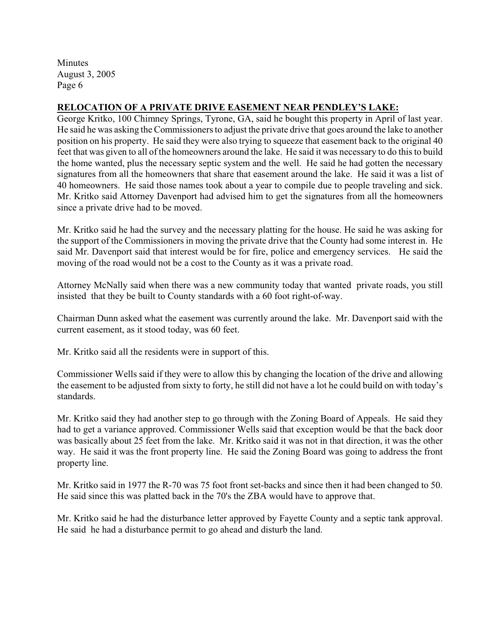### **RELOCATION OF A PRIVATE DRIVE EASEMENT NEAR PENDLEY'S LAKE:**

George Kritko, 100 Chimney Springs, Tyrone, GA, said he bought this property in April of last year. He said he was asking the Commissioners to adjust the private drive that goes around the lake to another position on his property. He said they were also trying to squeeze that easement back to the original 40 feet that was given to all of the homeowners around the lake. He said it was necessary to do this to build the home wanted, plus the necessary septic system and the well. He said he had gotten the necessary signatures from all the homeowners that share that easement around the lake. He said it was a list of 40 homeowners. He said those names took about a year to compile due to people traveling and sick. Mr. Kritko said Attorney Davenport had advised him to get the signatures from all the homeowners since a private drive had to be moved.

Mr. Kritko said he had the survey and the necessary platting for the house. He said he was asking for the support of the Commissioners in moving the private drive that the County had some interest in. He said Mr. Davenport said that interest would be for fire, police and emergency services. He said the moving of the road would not be a cost to the County as it was a private road.

Attorney McNally said when there was a new community today that wanted private roads, you still insisted that they be built to County standards with a 60 foot right-of-way.

Chairman Dunn asked what the easement was currently around the lake. Mr. Davenport said with the current easement, as it stood today, was 60 feet.

Mr. Kritko said all the residents were in support of this.

Commissioner Wells said if they were to allow this by changing the location of the drive and allowing the easement to be adjusted from sixty to forty, he still did not have a lot he could build on with today's standards.

Mr. Kritko said they had another step to go through with the Zoning Board of Appeals. He said they had to get a variance approved. Commissioner Wells said that exception would be that the back door was basically about 25 feet from the lake. Mr. Kritko said it was not in that direction, it was the other way. He said it was the front property line. He said the Zoning Board was going to address the front property line.

Mr. Kritko said in 1977 the R-70 was 75 foot front set-backs and since then it had been changed to 50. He said since this was platted back in the 70's the ZBA would have to approve that.

Mr. Kritko said he had the disturbance letter approved by Fayette County and a septic tank approval. He said he had a disturbance permit to go ahead and disturb the land.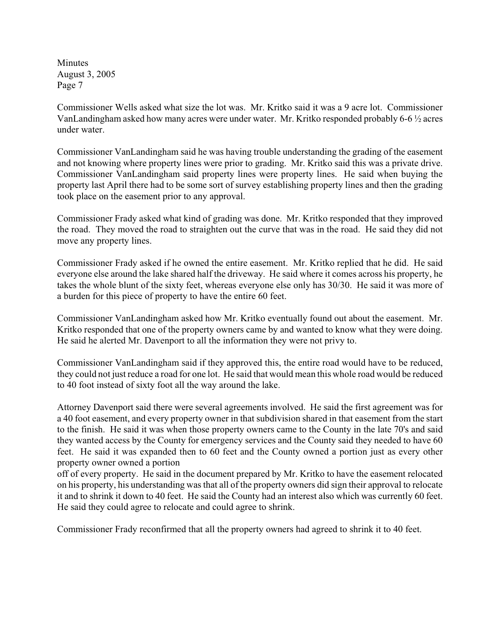Commissioner Wells asked what size the lot was. Mr. Kritko said it was a 9 acre lot. Commissioner VanLandingham asked how many acres were under water. Mr. Kritko responded probably 6-6 ½ acres under water.

Commissioner VanLandingham said he was having trouble understanding the grading of the easement and not knowing where property lines were prior to grading. Mr. Kritko said this was a private drive. Commissioner VanLandingham said property lines were property lines. He said when buying the property last April there had to be some sort of survey establishing property lines and then the grading took place on the easement prior to any approval.

Commissioner Frady asked what kind of grading was done. Mr. Kritko responded that they improved the road. They moved the road to straighten out the curve that was in the road. He said they did not move any property lines.

Commissioner Frady asked if he owned the entire easement. Mr. Kritko replied that he did. He said everyone else around the lake shared half the driveway. He said where it comes across his property, he takes the whole blunt of the sixty feet, whereas everyone else only has 30/30. He said it was more of a burden for this piece of property to have the entire 60 feet.

Commissioner VanLandingham asked how Mr. Kritko eventually found out about the easement. Mr. Kritko responded that one of the property owners came by and wanted to know what they were doing. He said he alerted Mr. Davenport to all the information they were not privy to.

Commissioner VanLandingham said if they approved this, the entire road would have to be reduced, they could not just reduce a road for one lot. He said that would mean this whole road would be reduced to 40 foot instead of sixty foot all the way around the lake.

Attorney Davenport said there were several agreements involved. He said the first agreement was for a 40 foot easement, and every property owner in that subdivision shared in that easement from the start to the finish. He said it was when those property owners came to the County in the late 70's and said they wanted access by the County for emergency services and the County said they needed to have 60 feet. He said it was expanded then to 60 feet and the County owned a portion just as every other property owner owned a portion

off of every property. He said in the document prepared by Mr. Kritko to have the easement relocated on his property, his understanding was that all of the property owners did sign their approval to relocate it and to shrink it down to 40 feet. He said the County had an interest also which was currently 60 feet. He said they could agree to relocate and could agree to shrink.

Commissioner Frady reconfirmed that all the property owners had agreed to shrink it to 40 feet.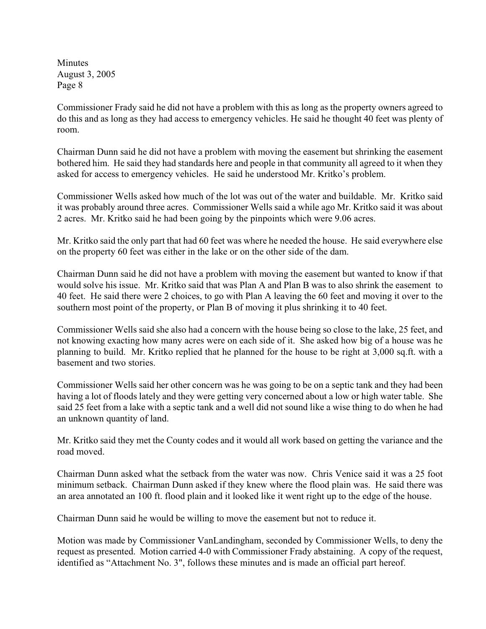Commissioner Frady said he did not have a problem with this as long as the property owners agreed to do this and as long as they had access to emergency vehicles. He said he thought 40 feet was plenty of room.

Chairman Dunn said he did not have a problem with moving the easement but shrinking the easement bothered him. He said they had standards here and people in that community all agreed to it when they asked for access to emergency vehicles. He said he understood Mr. Kritko's problem.

Commissioner Wells asked how much of the lot was out of the water and buildable. Mr. Kritko said it was probably around three acres. Commissioner Wells said a while ago Mr. Kritko said it was about 2 acres. Mr. Kritko said he had been going by the pinpoints which were 9.06 acres.

Mr. Kritko said the only part that had 60 feet was where he needed the house. He said everywhere else on the property 60 feet was either in the lake or on the other side of the dam.

Chairman Dunn said he did not have a problem with moving the easement but wanted to know if that would solve his issue. Mr. Kritko said that was Plan A and Plan B was to also shrink the easement to 40 feet. He said there were 2 choices, to go with Plan A leaving the 60 feet and moving it over to the southern most point of the property, or Plan B of moving it plus shrinking it to 40 feet.

Commissioner Wells said she also had a concern with the house being so close to the lake, 25 feet, and not knowing exacting how many acres were on each side of it. She asked how big of a house was he planning to build. Mr. Kritko replied that he planned for the house to be right at 3,000 sq.ft. with a basement and two stories.

Commissioner Wells said her other concern was he was going to be on a septic tank and they had been having a lot of floods lately and they were getting very concerned about a low or high water table. She said 25 feet from a lake with a septic tank and a well did not sound like a wise thing to do when he had an unknown quantity of land.

Mr. Kritko said they met the County codes and it would all work based on getting the variance and the road moved.

Chairman Dunn asked what the setback from the water was now. Chris Venice said it was a 25 foot minimum setback. Chairman Dunn asked if they knew where the flood plain was. He said there was an area annotated an 100 ft. flood plain and it looked like it went right up to the edge of the house.

Chairman Dunn said he would be willing to move the easement but not to reduce it.

Motion was made by Commissioner VanLandingham, seconded by Commissioner Wells, to deny the request as presented. Motion carried 4-0 with Commissioner Frady abstaining. A copy of the request, identified as "Attachment No. 3", follows these minutes and is made an official part hereof.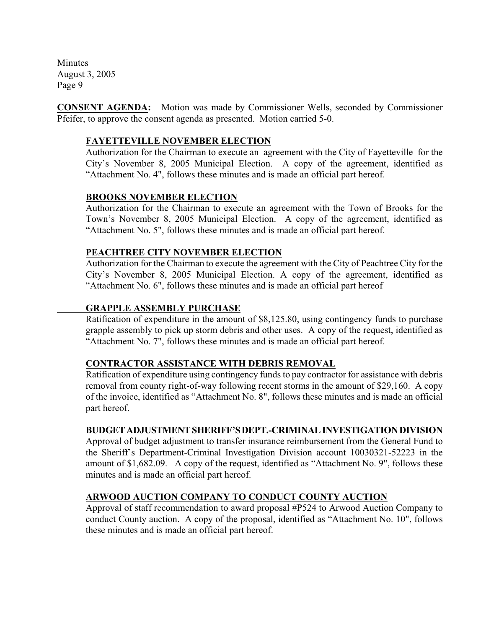**CONSENT AGENDA:** Motion was made by Commissioner Wells, seconded by Commissioner Pfeifer, to approve the consent agenda as presented. Motion carried 5-0.

### **FAYETTEVILLE NOVEMBER ELECTION**

Authorization for the Chairman to execute an agreement with the City of Fayetteville for the City's November 8, 2005 Municipal Election.A copy of the agreement, identified as "Attachment No. 4", follows these minutes and is made an official part hereof.

#### **BROOKS NOVEMBER ELECTION**

Authorization for the Chairman to execute an agreement with the Town of Brooks for the Town's November 8, 2005 Municipal Election. A copy of the agreement, identified as "Attachment No. 5", follows these minutes and is made an official part hereof.

### **PEACHTREE CITY NOVEMBER ELECTION**

Authorization for the Chairman to execute the agreement with the City of Peachtree City for the City's November 8, 2005 Municipal Election. A copy of the agreement, identified as "Attachment No. 6", follows these minutes and is made an official part hereof

### **GRAPPLE ASSEMBLY PURCHASE**

Ratification of expenditure in the amount of \$8,125.80, using contingency funds to purchase grapple assembly to pick up storm debris and other uses. A copy of the request, identified as "Attachment No. 7", follows these minutes and is made an official part hereof.

#### **CONTRACTOR ASSISTANCE WITH DEBRIS REMOVAL**

Ratification of expenditure using contingency funds to pay contractor for assistance with debris removal from county right-of-way following recent storms in the amount of \$29,160. A copy of the invoice, identified as "Attachment No. 8", follows these minutes and is made an official part hereof.

# **BUDGET ADJUSTMENT SHERIFF'S DEPT.-CRIMINAL INVESTIGATION DIVISION**

Approval of budget adjustment to transfer insurance reimbursement from the General Fund to the Sheriff's Department-Criminal Investigation Division account 10030321-52223 in the amount of \$1,682.09. A copy of the request, identified as "Attachment No. 9", follows these minutes and is made an official part hereof.

# **ARWOOD AUCTION COMPANY TO CONDUCT COUNTY AUCTION**

Approval of staff recommendation to award proposal #P524 to Arwood Auction Company to conduct County auction. A copy of the proposal, identified as "Attachment No. 10", follows these minutes and is made an official part hereof.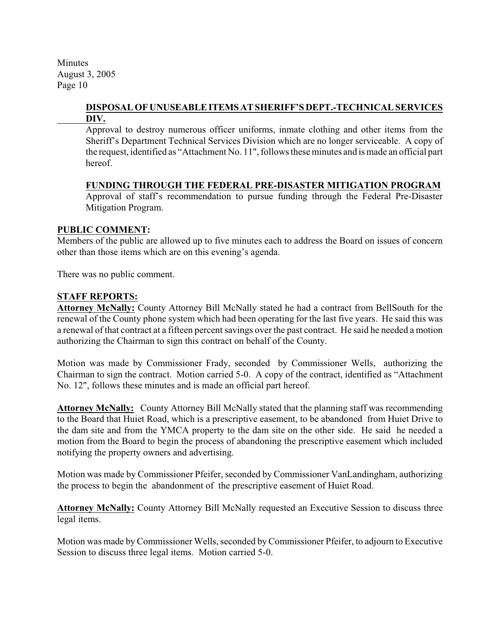### **DISPOSAL OF UNUSEABLE ITEMS AT SHERIFF'S DEPT.-TECHNICAL SERVICES DIV.**

Approval to destroy numerous officer uniforms, inmate clothing and other items from the Sheriff's Department Technical Services Division which are no longer serviceable. A copy of the request, identified as "Attachment No. 11", follows these minutes and is made an official part hereof.

### **FUNDING THROUGH THE FEDERAL PRE-DISASTER MITIGATION PROGRAM**

Approval of staff's recommendation to pursue funding through the Federal Pre-Disaster Mitigation Program.

### **PUBLIC COMMENT:**

Members of the public are allowed up to five minutes each to address the Board on issues of concern other than those items which are on this evening's agenda.

There was no public comment.

#### **STAFF REPORTS:**

**Attorney McNally:** County Attorney Bill McNally stated he had a contract from BellSouth for the renewal of the County phone system which had been operating for the last five years. He said this was a renewal of that contract at a fifteen percent savings over the past contract. He said he needed a motion authorizing the Chairman to sign this contract on behalf of the County.

Motion was made by Commissioner Frady, seconded by Commissioner Wells, authorizing the Chairman to sign the contract. Motion carried 5-0. A copy of the contract, identified as "Attachment No. 12", follows these minutes and is made an official part hereof.

**Attorney McNally:** County Attorney Bill McNally stated that the planning staff was recommending to the Board that Huiet Road, which is a prescriptive easement, to be abandoned from Huiet Drive to the dam site and from the YMCA property to the dam site on the other side. He said he needed a motion from the Board to begin the process of abandoning the prescriptive easement which included notifying the property owners and advertising.

Motion was made by Commissioner Pfeifer, seconded by Commissioner VanLandingham, authorizing the process to begin the abandonment of the prescriptive easement of Huiet Road.

**Attorney McNally:** County Attorney Bill McNally requested an Executive Session to discuss three legal items.

Motion was made by Commissioner Wells, seconded by Commissioner Pfeifer, to adjourn to Executive Session to discuss three legal items. Motion carried 5-0.